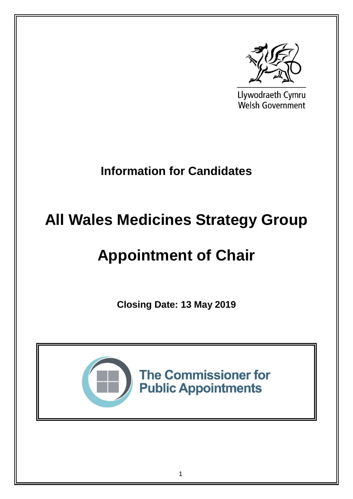

Llywodraeth Cymru **Welsh Government** 

# **Information for Candidates**

# **All Wales Medicines Strategy Group**

# **Appointment of Chair**

**Closing Date: 13 May 2019**



**The Commissioner for Public Appointments**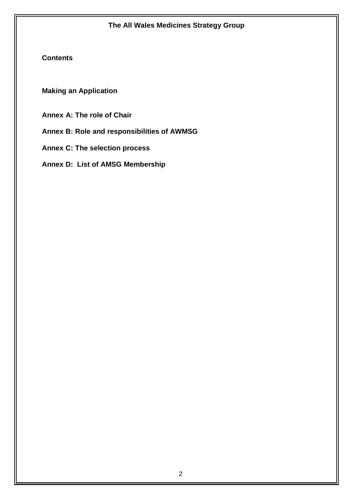# **Contents**

**Making an Application**

**Annex A: The role of Chair**

**Annex B: Role and responsibilities of AWMSG**

**Annex C: The selection process**

**Annex D: List of AMSG Membership**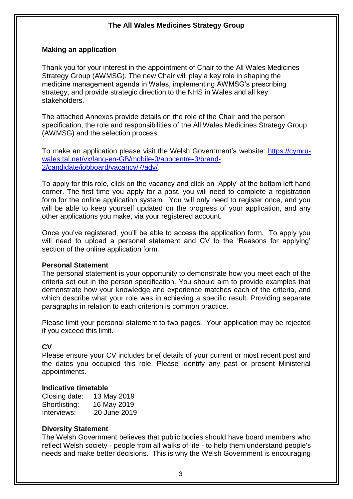#### **Making an application**

Thank you for your interest in the appointment of Chair to the All Wales Medicines Strategy Group (AWMSG). The new Chair will play a key role in shaping the medicine management agenda in Wales, implementing AWMSG's prescribing strategy, and provide strategic direction to the NHS in Wales and all key stakeholders.

The attached Annexes provide details on the role of the Chair and the person specification, the role and responsibilities of the All Wales Medicines Strategy Group (AWMSG) and the selection process.

To make an application please visit the Welsh Government's website: [https://cymru](https://cymru-wales.tal.net/vx/lang-en-GB/mobile-0/appcentre-3/brand-2/candidate/jobboard/vacancy/7/adv/)[wales.tal.net/vx/lang-en-GB/mobile-0/appcentre-3/brand-](https://cymru-wales.tal.net/vx/lang-en-GB/mobile-0/appcentre-3/brand-2/candidate/jobboard/vacancy/7/adv/)[2/candidate/jobboard/vacancy/7/adv/.](https://cymru-wales.tal.net/vx/lang-en-GB/mobile-0/appcentre-3/brand-2/candidate/jobboard/vacancy/7/adv/)

To apply for this role, click on the vacancy and click on 'Apply' at the bottom left hand corner. The first time you apply for a post, you will need to complete a registration form for the online application system. You will only need to register once, and you will be able to keep yourself updated on the progress of your application, and any other applications you make, via your registered account.

Once you've registered, you'll be able to access the application form. To apply you will need to upload a personal statement and CV to the 'Reasons for applying' section of the online application form.

#### **Personal Statement**

The personal statement is your opportunity to demonstrate how you meet each of the criteria set out in the person specification. You should aim to provide examples that demonstrate how your knowledge and experience matches each of the criteria, and which describe what your role was in achieving a specific result. Providing separate paragraphs in relation to each criterion is common practice.

Please limit your personal statement to two pages. Your application may be rejected if you exceed this limit.

# **CV**

Please ensure your CV includes brief details of your current or most recent post and the dates you occupied this role. Please identify any past or present Ministerial appointments.

#### **Indicative timetable**

| Closing date: | 13 May 2019  |
|---------------|--------------|
| Shortlisting: | 16 May 2019  |
| Interviews:   | 20 June 2019 |

#### **Diversity Statement**

The Welsh Government believes that public bodies should have board members who reflect Welsh society - people from all walks of life - to help them understand people's needs and make better decisions. This is why the Welsh Government is encouraging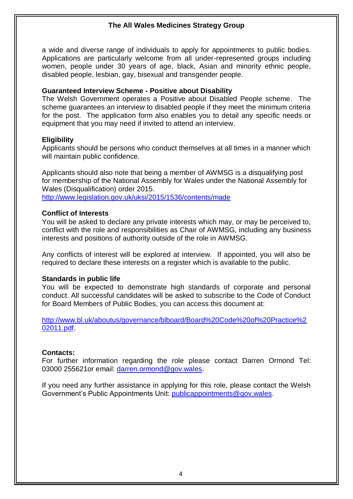a wide and diverse range of individuals to apply for appointments to public bodies. Applications are particularly welcome from all under-represented groups including women, people under 30 years of age, black, Asian and minority ethnic people, disabled people, lesbian, gay, bisexual and transgender people.

#### **Guaranteed Interview Scheme - Positive about Disability**

The Welsh Government operates a Positive about Disabled People scheme. The scheme guarantees an interview to disabled people if they meet the minimum criteria for the post. The application form also enables you to detail any specific needs or equipment that you may need if invited to attend an interview.

#### **Eligibility**

Applicants should be persons who conduct themselves at all times in a manner which will maintain public confidence.

Applicants should also note that being a member of AWMSG is a disqualifying post for membership of the National Assembly for Wales under the National Assembly for Wales (Disqualification) order 2015. <http://www.legislation.gov.uk/uksi/2015/1536/contents/made>

#### **Conflict of Interests**

You will be asked to declare any private interests which may, or may be perceived to, conflict with the role and responsibilities as Chair of AWMSG, including any business interests and positions of authority outside of the role in AWMSG.

Any conflicts of interest will be explored at interview. If appointed, you will also be required to declare these interests on a register which is available to the public.

#### **Standards in public life**

You will be expected to demonstrate high standards of corporate and personal conduct. All successful candidates will be asked to subscribe to the Code of Conduct for Board Members of Public Bodies, you can access this document at:

[http://www.bl.uk/aboutus/governance/blboard/Board%20Code%20of%20Practice%2](http://www.bl.uk/aboutus/governance/blboard/Board%20Code%20of%20Practice%202011.pdf) [02011.pdf.](http://www.bl.uk/aboutus/governance/blboard/Board%20Code%20of%20Practice%202011.pdf)

# **Contacts:**

For further information regarding the role please contact Darren Ormond Tel: 03000 255621or email: [darren.ormond@gov.wales.](mailto:darren.ormond@gov.wales)

If you need any further assistance in applying for this role, please contact the Welsh Government's Public Appointments Unit: [publicappointments@gov.wales.](mailto:publicappointments@gov.wales)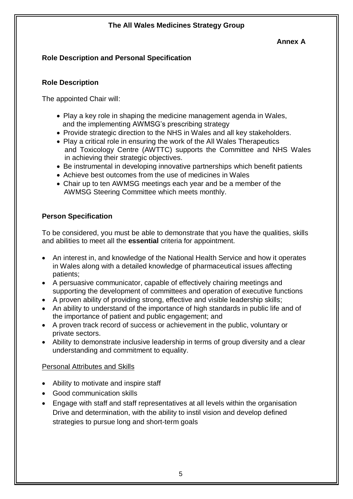# **Annex A**

# **Role Description and Personal Specification**

# **Role Description**

The appointed Chair will:

- Play a key role in shaping the medicine management agenda in Wales, and the implementing AWMSG's prescribing strategy
- Provide strategic direction to the NHS in Wales and all key stakeholders.
- Play a critical role in ensuring the work of the All Wales Therapeutics and Toxicology Centre (AWTTC) supports the Committee and NHS Wales in achieving their strategic objectives.
- Be instrumental in developing innovative partnerships which benefit patients
- Achieve best outcomes from the use of medicines in Wales
- Chair up to ten AWMSG meetings each year and be a member of the AWMSG Steering Committee which meets monthly.

# **Person Specification**

To be considered, you must be able to demonstrate that you have the qualities, skills and abilities to meet all the **essential** criteria for appointment.

- An interest in, and knowledge of the National Health Service and how it operates in Wales along with a detailed knowledge of pharmaceutical issues affecting patients;
- A persuasive communicator, capable of effectively chairing meetings and supporting the development of committees and operation of executive functions
- A proven ability of providing strong, effective and visible leadership skills;
- An ability to understand of the importance of high standards in public life and of the importance of patient and public engagement; and
- A proven track record of success or achievement in the public, voluntary or private sectors.
- Ability to demonstrate inclusive leadership in terms of group diversity and a clear understanding and commitment to equality.

# Personal Attributes and Skills

- Ability to motivate and inspire staff
- Good communication skills
- Engage with staff and staff representatives at all levels within the organisation Drive and determination, with the ability to instil vision and develop defined strategies to pursue long and short-term goals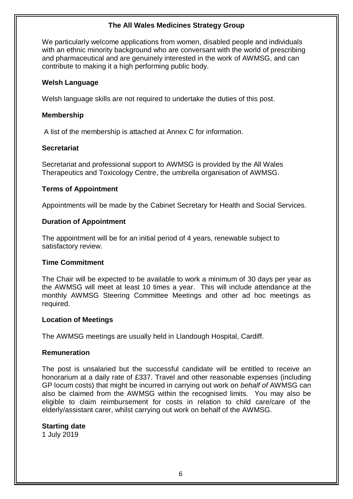We particularly welcome applications from women, disabled people and individuals with an ethnic minority background who are conversant with the world of prescribing and pharmaceutical and are genuinely interested in the work of AWMSG, and can contribute to making it a high performing public body.

#### **Welsh Language**

Welsh language skills are not required to undertake the duties of this post.

#### **Membership**

A list of the membership is attached at Annex C for information.

#### **Secretariat**

Secretariat and professional support to AWMSG is provided by the All Wales Therapeutics and Toxicology Centre, the umbrella organisation of AWMSG.

# **Terms of Appointment**

Appointments will be made by the Cabinet Secretary for Health and Social Services.

# **Duration of Appointment**

The appointment will be for an initial period of 4 years, renewable subject to satisfactory review.

# **Time Commitment**

The Chair will be expected to be available to work a minimum of 30 days per year as the AWMSG will meet at least 10 times a year. This will include attendance at the monthly AWMSG Steering Committee Meetings and other ad hoc meetings as required.

#### **Location of Meetings**

The AWMSG meetings are usually held in Llandough Hospital, Cardiff.

# **Remuneration**

The post is unsalaried but the successful candidate will be entitled to receive an honorarium at a daily rate of £337. Travel and other reasonable expenses (including GP locum costs) that might be incurred in carrying out work on *behalf of* AWMSG can also be claimed from the AWMSG within the recognised limits. You may also be eligible to claim reimbursement for costs in relation to child care/care of the elderly/assistant carer, whilst carrying out work on behalf of the AWMSG.

# **Starting date**

1 July 2019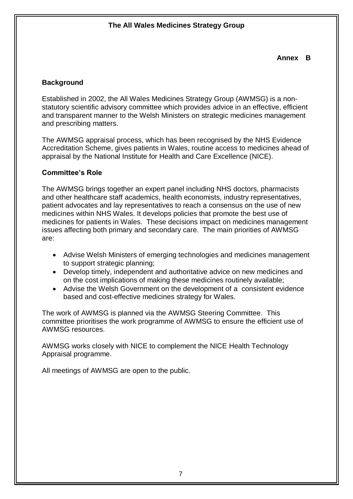# **Annex B**

# **Background**

Established in 2002, the All Wales Medicines Strategy Group (AWMSG) is a nonstatutory scientific advisory committee which provides advice in an effective, efficient and transparent manner to the Welsh Ministers on strategic medicines management and prescribing matters.

The AWMSG appraisal process, which has been recognised by the NHS Evidence Accreditation Scheme, gives patients in Wales, routine access to medicines ahead of appraisal by the National Institute for Health and Care Excellence (NICE).

# **Committee's Role**

The AWMSG brings together an expert panel including NHS doctors, pharmacists and other healthcare staff academics, health economists, industry representatives, patient advocates and lay representatives to reach a consensus on the use of new medicines within NHS Wales. It develops policies that promote the best use of medicines for patients in Wales. These decisions impact on medicines management issues affecting both primary and secondary care. The main priorities of AWMSG are:

- Advise Welsh Ministers of emerging technologies and medicines management to support strategic planning;
- Develop timely, independent and authoritative advice on new medicines and on the cost implications of making these medicines routinely available;
- Advise the Welsh Government on the development of a consistent evidence based and cost-effective medicines strategy for Wales.

The work of AWMSG is planned via the [AWMSG Steering Committee.](http://www.awmsg.org/awmsg_steering_committee.html) This committee prioritises the work programme of AWMSG to ensure the efficient use of AWMSG resources.

AWMSG works closely with NICE to complement the NICE Health Technology Appraisal programme.

All meetings of AWMSG are open to the public.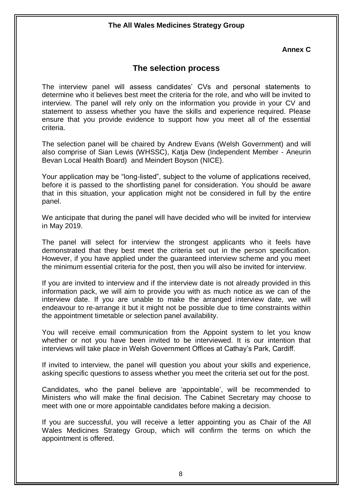#### **Annex C**

# **The selection process**

The interview panel will assess candidates' CVs and personal statements to determine who it believes best meet the criteria for the role, and who will be invited to interview. The panel will rely only on the information you provide in your CV and statement to assess whether you have the skills and experience required. Please ensure that you provide evidence to support how you meet all of the essential criteria.

The selection panel will be chaired by Andrew Evans (Welsh Government) and will also comprise of Sian Lewis (WHSSC), Katja Dew (Independent Member - Aneurin Bevan Local Health Board) and Meindert Boyson (NICE).

Your application may be "long-listed", subject to the volume of applications received, before it is passed to the shortlisting panel for consideration. You should be aware that in this situation, your application might not be considered in full by the entire panel.

We anticipate that during the panel will have decided who will be invited for interview in May 2019.

The panel will select for interview the strongest applicants who it feels have demonstrated that they best meet the criteria set out in the person specification. However, if you have applied under the guaranteed interview scheme and you meet the minimum essential criteria for the post, then you will also be invited for interview.

If you are invited to interview and if the interview date is not already provided in this information pack, we will aim to provide you with as much notice as we can of the interview date. If you are unable to make the arranged interview date, we will endeavour to re-arrange it but it might not be possible due to time constraints within the appointment timetable or selection panel availability.

You will receive email communication from the Appoint system to let you know whether or not you have been invited to be interviewed. It is our intention that interviews will take place in Welsh Government Offices at Cathay's Park, Cardiff.

If invited to interview, the panel will question you about your skills and experience, asking specific questions to assess whether you meet the criteria set out for the post.

Candidates, who the panel believe are 'appointable', will be recommended to Ministers who will make the final decision. The Cabinet Secretary may choose to meet with one or more appointable candidates before making a decision.

If you are successful, you will receive a letter appointing you as Chair of the All Wales Medicines Strategy Group, which will confirm the terms on which the appointment is offered.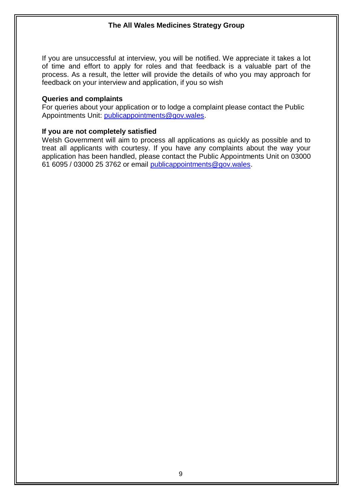If you are unsuccessful at interview, you will be notified. We appreciate it takes a lot of time and effort to apply for roles and that feedback is a valuable part of the process. As a result, the letter will provide the details of who you may approach for feedback on your interview and application, if you so wish

#### **Queries and complaints**

For queries about your application or to lodge a complaint please contact the Public Appointments Unit: [publicappointments@gov.wales.](mailto:publicappointments@gov.wales)

#### **If you are not completely satisfied**

Welsh Government will aim to process all applications as quickly as possible and to treat all applicants with courtesy. If you have any complaints about the way your application has been handled, please contact the Public Appointments Unit on 03000 61 6095 / 03000 25 3762 or email [publicappointments@gov.wales.](mailto:publicappointments@gov.wales)